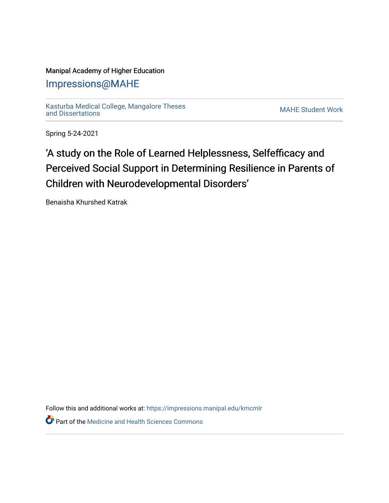### Manipal Academy of Higher Education

### [Impressions@MAHE](https://impressions.manipal.edu/)

[Kasturba Medical College, Mangalore Theses](https://impressions.manipal.edu/kmcmlr) [and Dissertations](https://impressions.manipal.edu/kmcmlr) [MAHE Student Work](https://impressions.manipal.edu/student-work) 

Spring 5-24-2021

# 'A study on the Role of Learned Helplessness, Selfefficacy and Perceived Social Support in Determining Resilience in Parents of Children with Neurodevelopmental Disorders'

Benaisha Khurshed Katrak

Follow this and additional works at: [https://impressions.manipal.edu/kmcmlr](https://impressions.manipal.edu/kmcmlr?utm_source=impressions.manipal.edu%2Fkmcmlr%2F191&utm_medium=PDF&utm_campaign=PDFCoverPages) 

*O* Part of the Medicine and Health Sciences Commons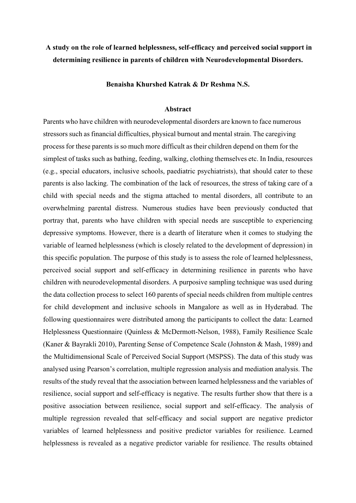## **A study on the role of learned helplessness, self-efficacy and perceived social support in determining resilience in parents of children with Neurodevelopmental Disorders.**

#### **Benaisha Khurshed Katrak & Dr Reshma N.S.**

#### **Abstract**

Parents who have children with neurodevelopmental disorders are known to face numerous stressors such as financial difficulties, physical burnout and mental strain. The caregiving process for these parents is so much more difficult as their children depend on them for the simplest of tasks such as bathing, feeding, walking, clothing themselves etc. In India, resources (e.g., special educators, inclusive schools, paediatric psychiatrists), that should cater to these parents is also lacking. The combination of the lack of resources, the stress of taking care of a child with special needs and the stigma attached to mental disorders, all contribute to an overwhelming parental distress. Numerous studies have been previously conducted that portray that, parents who have children with special needs are susceptible to experiencing depressive symptoms. However, there is a dearth of literature when it comes to studying the variable of learned helplessness (which is closely related to the development of depression) in this specific population. The purpose of this study is to assess the role of learned helplessness, perceived social support and self-efficacy in determining resilience in parents who have children with neurodevelopmental disorders. A purposive sampling technique was used during the data collection process to select 160 parents of special needs children from multiple centres for child development and inclusive schools in Mangalore as well as in Hyderabad. The following questionnaires were distributed among the participants to collect the data: Learned Helplessness Questionnaire (Quinless & McDermott-Nelson, 1988), Family Resilience Scale (Kaner & Bayrakli 2010), Parenting Sense of Competence Scale (Johnston & Mash, 1989) and the Multidimensional Scale of Perceived Social Support (MSPSS). The data of this study was analysed using Pearson's correlation, multiple regression analysis and mediation analysis. The results of the study reveal that the association between learned helplessness and the variables of resilience, social support and self-efficacy is negative. The results further show that there is a positive association between resilience, social support and self-efficacy. The analysis of multiple regression revealed that self-efficacy and social support are negative predictor variables of learned helplessness and positive predictor variables for resilience. Learned helplessness is revealed as a negative predictor variable for resilience. The results obtained